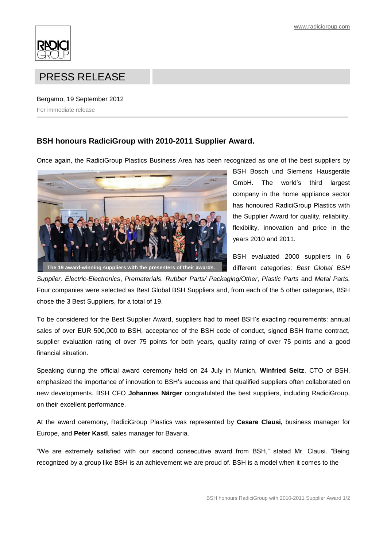

## PRESS RELEASE

## Bergamo, 19 September 2012

For immediate release

## **BSH honours RadiciGroup with 2010-2011 Supplier Award.**

Once again, the RadiciGroup Plastics Business Area has been recognized as one of the best suppliers by



BSH Bosch und Siemens Hausgeräte GmbH. The world's third largest company in the home appliance sector has honoured RadiciGroup Plastics with the Supplier Award for quality, reliability, flexibility, innovation and price in the years 2010 and 2011.

BSH evaluated 2000 suppliers in 6 different categories: *Best Global BSH* 

*Supplier, Electric-Electronics*, *Prematerials*, *Rubber Parts/ Packaging/Other*, *Plastic Parts* and *Metal Parts.* Four companies were selected as Best Global BSH Suppliers and, from each of the 5 other categories, BSH chose the 3 Best Suppliers, for a total of 19.

To be considered for the Best Supplier Award, suppliers had to meet BSH's exacting requirements: annual sales of over EUR 500,000 to BSH, acceptance of the BSH code of conduct, signed BSH frame contract, supplier evaluation rating of over 75 points for both years, quality rating of over 75 points and a good financial situation.

Speaking during the official award ceremony held on 24 July in Munich, **Winfried Seitz**, CTO of BSH, emphasized the importance of innovation to BSH's success and that qualified suppliers often collaborated on new developments. BSH CFO **Johannes Närger** congratulated the best suppliers, including RadiciGroup, on their excellent performance.

At the award ceremony, RadiciGroup Plastics was represented by **Cesare Clausi,** business manager for Europe, and **Peter Kastl**, sales manager for Bavaria.

"We are extremely satisfied with our second consecutive award from BSH," stated Mr. Clausi. "Being recognized by a group like BSH is an achievement we are proud of. BSH is a model when it comes to the